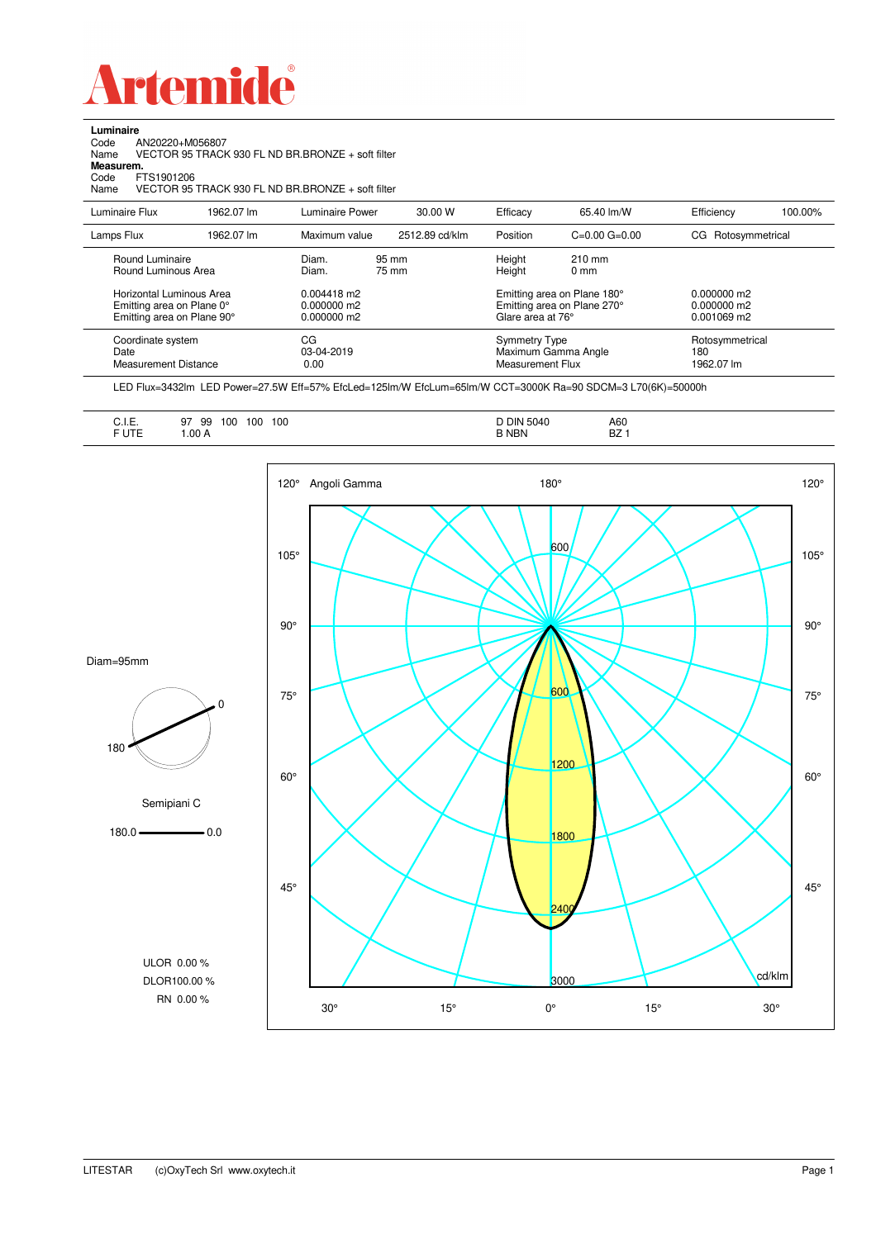

**Luminaire**

| Code<br>AN20220+M056807<br>Name<br>Measurem.<br>FTS1901206<br>Code<br>Name          |            | VECTOR 95 TRACK 930 FL ND BR.BRONZE + soft filter<br>VECTOR 95 TRACK 930 FL ND BR.BRONZE + soft filter |                |                                                                                 |                                     |                                           |         |
|-------------------------------------------------------------------------------------|------------|--------------------------------------------------------------------------------------------------------|----------------|---------------------------------------------------------------------------------|-------------------------------------|-------------------------------------------|---------|
| Luminaire Flux                                                                      | 1962.07 lm | Luminaire Power                                                                                        | 30.00 W        | Efficacy                                                                        | 65.40 lm/W                          | Efficiency                                | 100.00% |
| Lamps Flux                                                                          | 1962.07 lm | Maximum value                                                                                          | 2512.89 cd/klm | Position                                                                        | $C=0.00$ $G=0.00$                   | CG Rotosymmetrical                        |         |
| Round Luminaire<br>Round Luminous Area                                              |            | Diam.<br>Diam.                                                                                         | 95 mm<br>75 mm | Height<br>Height                                                                | $210 \text{ mm}$<br>0 <sub>mm</sub> |                                           |         |
| Horizontal Luminous Area<br>Emitting area on Plane 0°<br>Emitting area on Plane 90° |            | $0.004418$ m2<br>0.000000 m2<br>0.000000 m2                                                            |                | Emitting area on Plane 180°<br>Emitting area on Plane 270°<br>Glare area at 76° |                                     | 0.000000 m2<br>0.000000 m2<br>0.001069 m2 |         |
| Coordinate system<br>Date<br><b>Measurement Distance</b>                            |            | CG<br>03-04-2019<br>0.00                                                                               |                | <b>Symmetry Type</b><br><b>Measurement Flux</b>                                 | Maximum Gamma Angle                 | Rotosymmetrical<br>180<br>1962.07 lm      |         |

LED Flux=3432lm LED Power=27.5W Eff=57% EfcLed=125lm/W EfcLum=65lm/W CCT=3000K Ra=90 SDCM=3 L70(6K)=50000h

| A60<br>BZ |  |
|-----------|--|
|-----------|--|